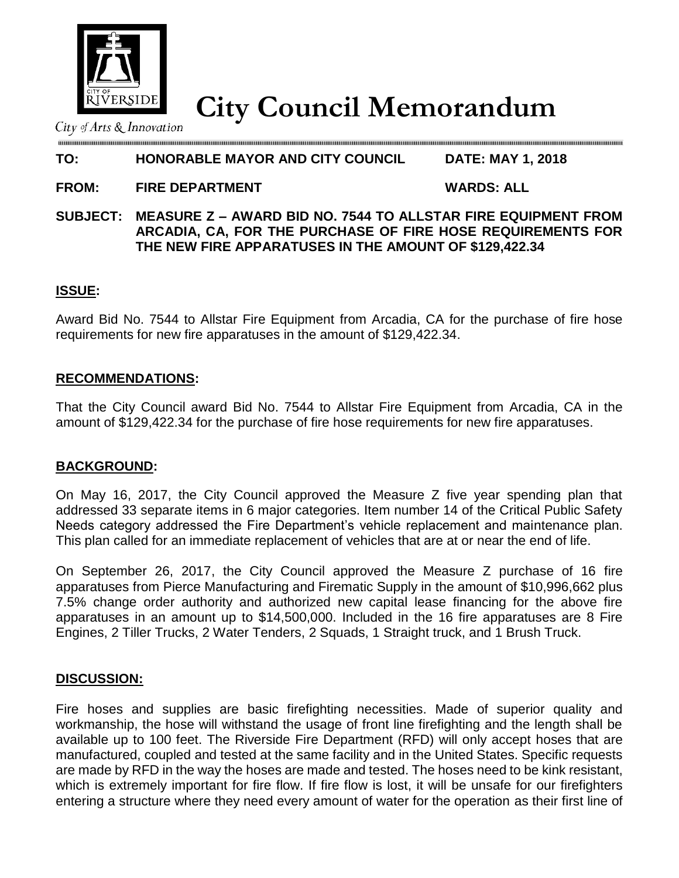

**City Council Memorandum**

City of Arts  $\&$  Innovation

# **TO: HONORABLE MAYOR AND CITY COUNCIL DATE: MAY 1, 2018**

**FROM: FIRE DEPARTMENT WARDS: ALL**

#### **SUBJECT: MEASURE Z – AWARD BID NO. 7544 TO ALLSTAR FIRE EQUIPMENT FROM ARCADIA, CA, FOR THE PURCHASE OF FIRE HOSE REQUIREMENTS FOR THE NEW FIRE APPARATUSES IN THE AMOUNT OF \$129,422.34**

## **ISSUE:**

Award Bid No. 7544 to Allstar Fire Equipment from Arcadia, CA for the purchase of fire hose requirements for new fire apparatuses in the amount of \$129,422.34.

## **RECOMMENDATIONS:**

That the City Council award Bid No. 7544 to Allstar Fire Equipment from Arcadia, CA in the amount of \$129,422.34 for the purchase of fire hose requirements for new fire apparatuses.

## **BACKGROUND:**

On May 16, 2017, the City Council approved the Measure Z five year spending plan that addressed 33 separate items in 6 major categories. Item number 14 of the Critical Public Safety Needs category addressed the Fire Department's vehicle replacement and maintenance plan. This plan called for an immediate replacement of vehicles that are at or near the end of life.

On September 26, 2017, the City Council approved the Measure Z purchase of 16 fire apparatuses from Pierce Manufacturing and Firematic Supply in the amount of \$10,996,662 plus 7.5% change order authority and authorized new capital lease financing for the above fire apparatuses in an amount up to \$14,500,000. Included in the 16 fire apparatuses are 8 Fire Engines, 2 Tiller Trucks, 2 Water Tenders, 2 Squads, 1 Straight truck, and 1 Brush Truck.

## **DISCUSSION:**

Fire hoses and supplies are basic firefighting necessities. Made of superior quality and workmanship, the hose will withstand the usage of front line firefighting and the length shall be available up to 100 feet. The Riverside Fire Department (RFD) will only accept hoses that are manufactured, coupled and tested at the same facility and in the United States. Specific requests are made by RFD in the way the hoses are made and tested. The hoses need to be kink resistant, which is extremely important for fire flow. If fire flow is lost, it will be unsafe for our firefighters entering a structure where they need every amount of water for the operation as their first line of